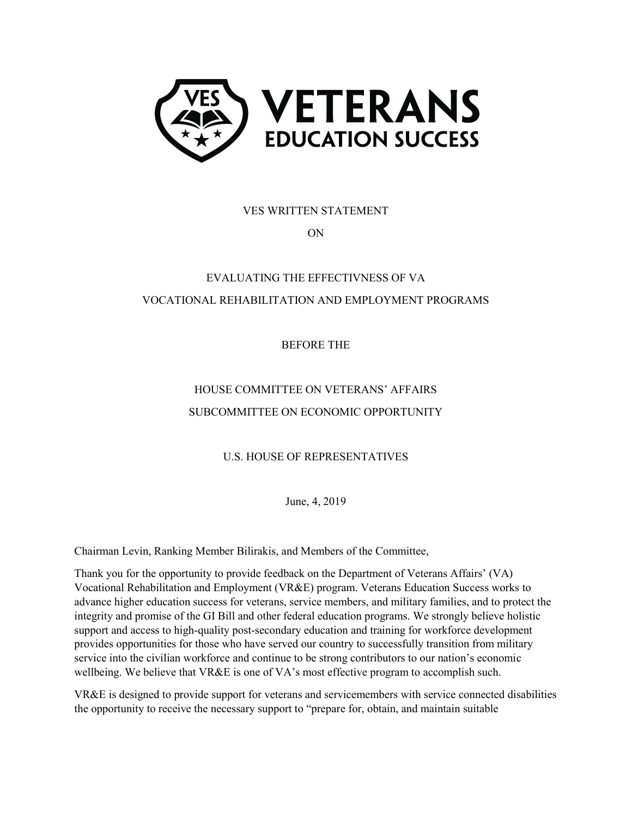

VES WRITTEN STATEMENT

ON

# EVALUATING THE EFFECTIVNESS OF VA VOCATIONAL REHABILITATION AND EMPLOYMENT PROGRAMS

BEFORE THE

## HOUSE COMMITTEE ON VETERANS' AFFAIRS SUBCOMMITTEE ON ECONOMIC OPPORTUNITY

U.S. HOUSE OF REPRESENTATIVES

June, 4, 2019

Chairman Levin, Ranking Member Bilirakis, and Members of the Committee,

Thank you for the opportunity to provide feedback on the Department of Veterans Affairs' (VA) Vocational Rehabilitation and Employment (VR&E) program. Veterans Education Success works to advance higher education success for veterans, service members, and military families, and to protect the integrity and promise of the GI Bill and other federal education programs. We strongly believe holistic support and access to high-quality post-secondary education and training for workforce development provides opportunities for those who have served our country to successfully transition from military service into the civilian workforce and continue to be strong contributors to our nation's economic wellbeing. We believe that VR&E is one of VA's most effective program to accomplish such.

VR&E is designed to provide support for veterans and servicemembers with service connected disabilities the opportunity to receive the necessary support to "prepare for, obtain, and maintain suitable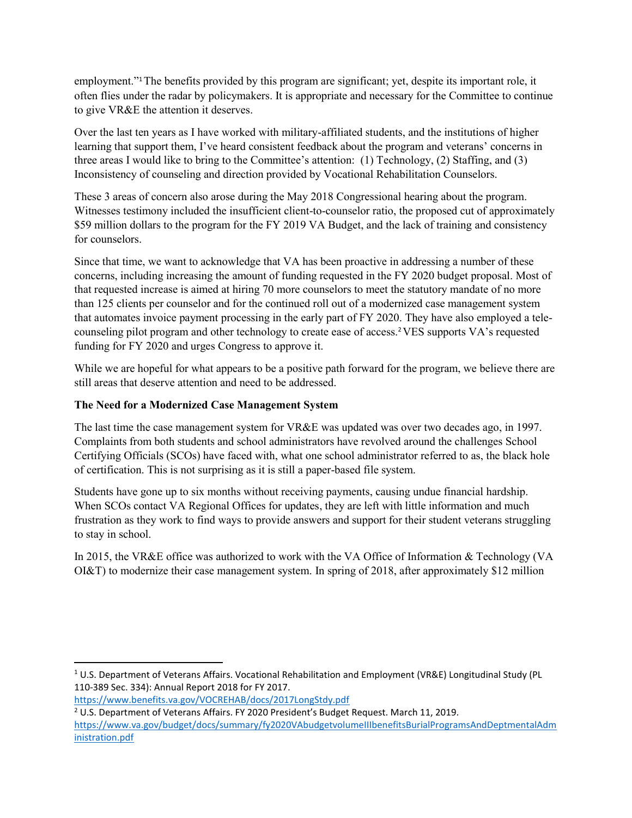employment."1The benefits provided by this program are significant; yet, despite its important role, it often flies under the radar by policymakers. It is appropriate and necessary for the Committee to continue to give VR&E the attention it deserves.

Over the last ten years as I have worked with military-affiliated students, and the institutions of higher learning that support them, I've heard consistent feedback about the program and veterans' concerns in three areas I would like to bring to the Committee's attention: (1) Technology, (2) Staffing, and (3) Inconsistency of counseling and direction provided by Vocational Rehabilitation Counselors.

These 3 areas of concern also arose during the May 2018 Congressional hearing about the program. Witnesses testimony included the insufficient client-to-counselor ratio, the proposed cut of approximately \$59 million dollars to the program for the FY 2019 VA Budget, and the lack of training and consistency for counselors.

Since that time, we want to acknowledge that VA has been proactive in addressing a number of these concerns, including increasing the amount of funding requested in the FY 2020 budget proposal. Most of that requested increase is aimed at hiring 70 more counselors to meet the statutory mandate of no more than 125 clients per counselor and for the continued roll out of a modernized case management system that automates invoice payment processing in the early part of FY 2020. They have also employed a telecounseling pilot program and other technology to create ease of access.2VES supports VA's requested funding for FY 2020 and urges Congress to approve it.

While we are hopeful for what appears to be a positive path forward for the program, we believe there are still areas that deserve attention and need to be addressed.

### **The Need for a Modernized Case Management System**

The last time the case management system for VR&E was updated was over two decades ago, in 1997. Complaints from both students and school administrators have revolved around the challenges School Certifying Officials (SCOs) have faced with, what one school administrator referred to as, the black hole of certification. This is not surprising as it is still a paper-based file system.

Students have gone up to six months without receiving payments, causing undue financial hardship. When SCOs contact VA Regional Offices for updates, they are left with little information and much frustration as they work to find ways to provide answers and support for their student veterans struggling to stay in school.

In 2015, the VR&E office was authorized to work with the VA Office of Information & Technology (VA OI&T) to modernize their case management system. In spring of 2018, after approximately \$12 million

<https://www.benefits.va.gov/VOCREHAB/docs/2017LongStdy.pdf>

l

<sup>1</sup> U.S. Department of Veterans Affairs. Vocational Rehabilitation and Employment (VR&E) Longitudinal Study (PL 110-389 Sec. 334): Annual Report 2018 for FY 2017.

<sup>2</sup> U.S. Department of Veterans Affairs. FY 2020 President's Budget Request. March 11, 2019. [https://www.va.gov/budget/docs/summary/fy2020VAbudgetvolumeIIIbenefitsBurialProgramsAndDeptmentalAdm](https://www.va.gov/budget/docs/summary/fy2020VAbudgetvolumeIIIbenefitsBurialProgramsAndDeptmentalAdministration.pdf) [inistration.pdf](https://www.va.gov/budget/docs/summary/fy2020VAbudgetvolumeIIIbenefitsBurialProgramsAndDeptmentalAdministration.pdf)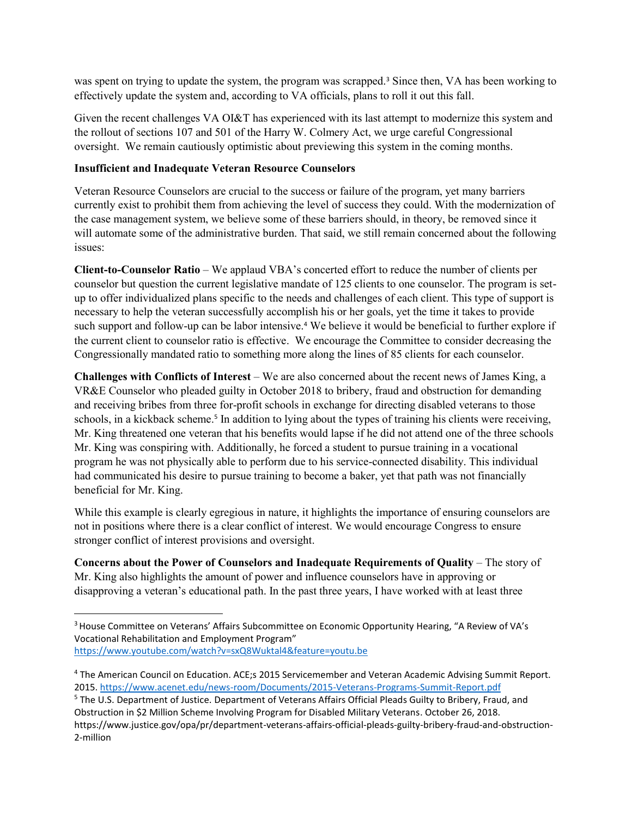was spent on trying to update the system, the program was scrapped.<sup>3</sup> Since then, VA has been working to effectively update the system and, according to VA officials, plans to roll it out this fall.

Given the recent challenges VA OI&T has experienced with its last attempt to modernize this system and the rollout of sections 107 and 501 of the Harry W. Colmery Act, we urge careful Congressional oversight. We remain cautiously optimistic about previewing this system in the coming months.

#### **Insufficient and Inadequate Veteran Resource Counselors**

 $\overline{\phantom{a}}$ 

Veteran Resource Counselors are crucial to the success or failure of the program, yet many barriers currently exist to prohibit them from achieving the level of success they could. With the modernization of the case management system, we believe some of these barriers should, in theory, be removed since it will automate some of the administrative burden. That said, we still remain concerned about the following issues:

**Client-to-Counselor Ratio** – We applaud VBA's concerted effort to reduce the number of clients per counselor but question the current legislative mandate of 125 clients to one counselor. The program is setup to offer individualized plans specific to the needs and challenges of each client. This type of support is necessary to help the veteran successfully accomplish his or her goals, yet the time it takes to provide such support and follow-up can be labor intensive.<sup>4</sup> We believe it would be beneficial to further explore if the current client to counselor ratio is effective. We encourage the Committee to consider decreasing the Congressionally mandated ratio to something more along the lines of 85 clients for each counselor.

**Challenges with Conflicts of Interest** – We are also concerned about the recent news of James King, a VR&E Counselor who pleaded guilty in October 2018 to bribery, fraud and obstruction for demanding and receiving bribes from three for-profit schools in exchange for directing disabled veterans to those schools, in a kickback scheme.<sup>5</sup> In addition to lying about the types of training his clients were receiving, Mr. King threatened one veteran that his benefits would lapse if he did not attend one of the three schools Mr. King was conspiring with. Additionally, he forced a student to pursue training in a vocational program he was not physically able to perform due to his service-connected disability. This individual had communicated his desire to pursue training to become a baker, yet that path was not financially beneficial for Mr. King.

While this example is clearly egregious in nature, it highlights the importance of ensuring counselors are not in positions where there is a clear conflict of interest. We would encourage Congress to ensure stronger conflict of interest provisions and oversight.

**Concerns about the Power of Counselors and Inadequate Requirements of Quality – The story of** Mr. King also highlights the amount of power and influence counselors have in approving or disapproving a veteran's educational path. In the past three years, I have worked with at least three

<sup>&</sup>lt;sup>3</sup> House Committee on Veterans' Affairs Subcommittee on Economic Opportunity Hearing, "A Review of VA's Vocational Rehabilitation and Employment Program" <https://www.youtube.com/watch?v=sxQ8Wuktal4&feature=youtu.be>

<sup>4</sup> The American Council on Education. ACE;s 2015 Servicemember and Veteran Academic Advising Summit Report. 2015.<https://www.acenet.edu/news-room/Documents/2015-Veterans-Programs-Summit-Report.pdf>

<sup>5</sup> The U.S. Department of Justice. Department of Veterans Affairs Official Pleads Guilty to Bribery, Fraud, and Obstruction in \$2 Million Scheme Involving Program for Disabled Military Veterans. October 26, 2018. https://www.justice.gov/opa/pr/department-veterans-affairs-official-pleads-guilty-bribery-fraud-and-obstruction-2-million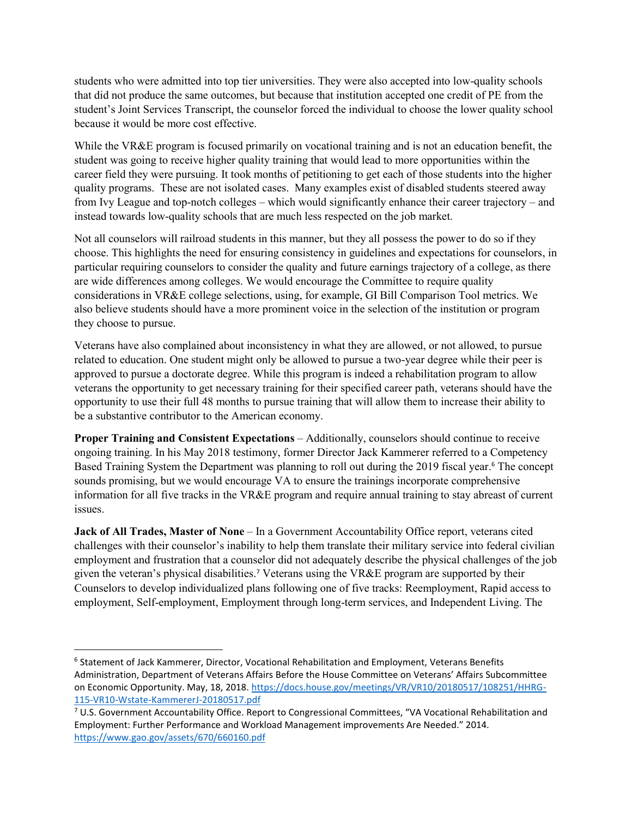students who were admitted into top tier universities. They were also accepted into low-quality schools that did not produce the same outcomes, but because that institution accepted one credit of PE from the student's Joint Services Transcript, the counselor forced the individual to choose the lower quality school because it would be more cost effective.

While the VR&E program is focused primarily on vocational training and is not an education benefit, the student was going to receive higher quality training that would lead to more opportunities within the career field they were pursuing. It took months of petitioning to get each of those students into the higher quality programs. These are not isolated cases. Many examples exist of disabled students steered away from Ivy League and top-notch colleges – which would significantly enhance their career trajectory – and instead towards low-quality schools that are much less respected on the job market.

Not all counselors will railroad students in this manner, but they all possess the power to do so if they choose. This highlights the need for ensuring consistency in guidelines and expectations for counselors, in particular requiring counselors to consider the quality and future earnings trajectory of a college, as there are wide differences among colleges. We would encourage the Committee to require quality considerations in VR&E college selections, using, for example, GI Bill Comparison Tool metrics. We also believe students should have a more prominent voice in the selection of the institution or program they choose to pursue.

Veterans have also complained about inconsistency in what they are allowed, or not allowed, to pursue related to education. One student might only be allowed to pursue a two-year degree while their peer is approved to pursue a doctorate degree. While this program is indeed a rehabilitation program to allow veterans the opportunity to get necessary training for their specified career path, veterans should have the opportunity to use their full 48 months to pursue training that will allow them to increase their ability to be a substantive contributor to the American economy.

**Proper Training and Consistent Expectations** – Additionally, counselors should continue to receive ongoing training. In his May 2018 testimony, former Director Jack Kammerer referred to a Competency Based Training System the Department was planning to roll out during the 2019 fiscal year.<sup>6</sup> The concept sounds promising, but we would encourage VA to ensure the trainings incorporate comprehensive information for all five tracks in the VR&E program and require annual training to stay abreast of current issues.

**Jack of All Trades, Master of None** – In a Government Accountability Office report, veterans cited challenges with their counselor's inability to help them translate their military service into federal civilian employment and frustration that a counselor did not adequately describe the physical challenges of the job given the veteran's physical disabilities.<sup>7</sup> Veterans using the VR&E program are supported by their Counselors to develop individualized plans following one of five tracks: Reemployment, Rapid access to employment, Self-employment, Employment through long-term services, and Independent Living. The

 $\overline{\phantom{a}}$ 

<sup>6</sup> Statement of Jack Kammerer, Director, Vocational Rehabilitation and Employment, Veterans Benefits Administration, Department of Veterans Affairs Before the House Committee on Veterans' Affairs Subcommittee on Economic Opportunity. May, 18, 2018. [https://docs.house.gov/meetings/VR/VR10/20180517/108251/HHRG-](https://docs.house.gov/meetings/VR/VR10/20180517/108251/HHRG-115-VR10-Wstate-KammererJ-20180517.pdf)[115-VR10-Wstate-KammererJ-20180517.pdf](https://docs.house.gov/meetings/VR/VR10/20180517/108251/HHRG-115-VR10-Wstate-KammererJ-20180517.pdf)

<sup>7</sup> U.S. Government Accountability Office. Report to Congressional Committees, "VA Vocational Rehabilitation and Employment: Further Performance and Workload Management improvements Are Needed." 2014. <https://www.gao.gov/assets/670/660160.pdf>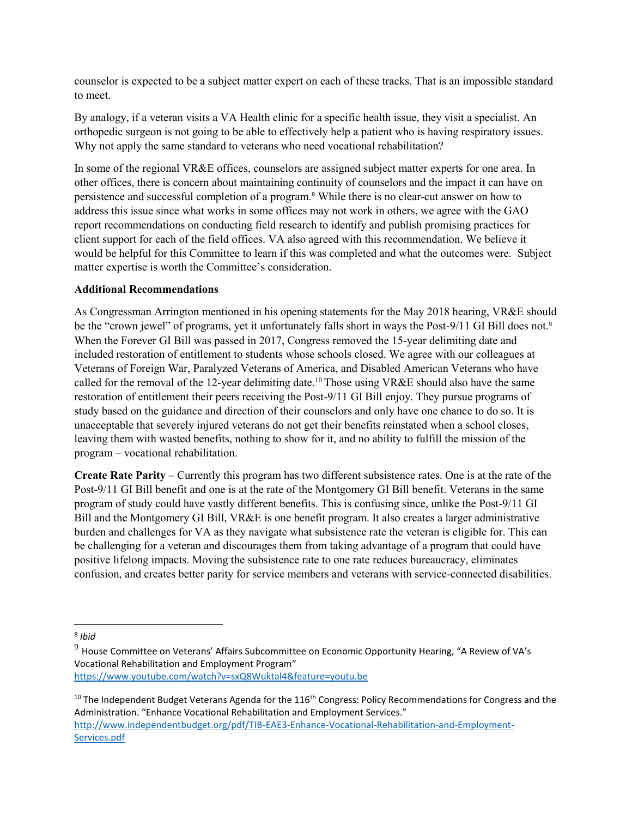counselor is expected to be a subject matter expert on each of these tracks. That is an impossible standard to meet.

By analogy, if a veteran visits a VA Health clinic for a specific health issue, they visit a specialist. An orthopedic surgeon is not going to be able to effectively help a patient who is having respiratory issues. Why not apply the same standard to veterans who need vocational rehabilitation?

In some of the regional VR&E offices, counselors are assigned subject matter experts for one area. In other offices, there is concern about maintaining continuity of counselors and the impact it can have on persistence and successful completion of a program.<sup>8</sup> While there is no clear-cut answer on how to address this issue since what works in some offices may not work in others, we agree with the GAO report recommendations on conducting field research to identify and publish promising practices for client support for each of the field offices. VA also agreed with this recommendation. We believe it would be helpful for this Committee to learn if this was completed and what the outcomes were. Subject matter expertise is worth the Committee's consideration.

#### **Additional Recommendations**

As Congressman Arrington mentioned in his opening statements for the May 2018 hearing, VR&E should be the "crown jewel" of programs, yet it unfortunately falls short in ways the Post-9/11 GI Bill does not.<sup>9</sup> When the Forever GI Bill was passed in 2017, Congress removed the 15-year delimiting date and included restoration of entitlement to students whose schools closed. We agree with our colleagues at Veterans of Foreign War, Paralyzed Veterans of America, and Disabled American Veterans who have called for the removal of the 12-year delimiting date.<sup>10</sup> Those using VR&E should also have the same restoration of entitlement their peers receiving the Post-9/11 GI Bill enjoy. They pursue programs of study based on the guidance and direction of their counselors and only have one chance to do so. It is unacceptable that severely injured veterans do not get their benefits reinstated when a school closes, leaving them with wasted benefits, nothing to show for it, and no ability to fulfill the mission of the program – vocational rehabilitation.

**Create Rate Parity** – Currently this program has two different subsistence rates. One is at the rate of the Post-9/11 GI Bill benefit and one is at the rate of the Montgomery GI Bill benefit. Veterans in the same program of study could have vastly different benefits. This is confusing since, unlike the Post-9/11 GI Bill and the Montgomery GI Bill, VR&E is one benefit program. It also creates a larger administrative burden and challenges for VA as they navigate what subsistence rate the veteran is eligible for. This can be challenging for a veteran and discourages them from taking advantage of a program that could have positive lifelong impacts. Moving the subsistence rate to one rate reduces bureaucracy, eliminates confusion, and creates better parity for service members and veterans with service-connected disabilities.

 $\overline{\phantom{a}}$ 

<sup>8</sup> *Ibid*

 $9$  House Committee on Veterans' Affairs Subcommittee on Economic Opportunity Hearing, "A Review of VA's Vocational Rehabilitation and Employment Program" <https://www.youtube.com/watch?v=sxQ8Wuktal4&feature=youtu.be>

 $10$  The Independent Budget Veterans Agenda for the 116<sup>th</sup> Congress: Policy Recommendations for Congress and the Administration. "Enhance Vocational Rehabilitation and Employment Services." [http://www.independentbudget.org/pdf/TIB-EAE3-Enhance-Vocational-Rehabilitation-and-Employment-](http://www.independentbudget.org/pdf/TIB-EAE3-Enhance-Vocational-Rehabilitation-and-Employment-Services.pdf)[Services.pdf](http://www.independentbudget.org/pdf/TIB-EAE3-Enhance-Vocational-Rehabilitation-and-Employment-Services.pdf)